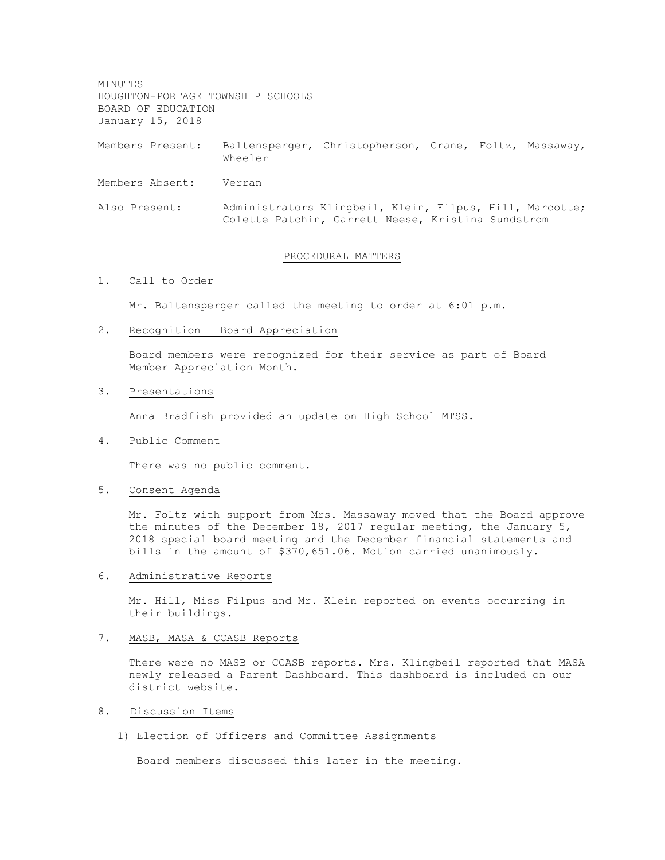MINUTES HOUGHTON-PORTAGE TOWNSHIP SCHOOLS BOARD OF EDUCATION January 15, 2018

Members Present: Baltensperger, Christopherson, Crane, Foltz, Massaway, Wheeler

Members Absent: Verran

Also Present: Administrators Klingbeil, Klein, Filpus, Hill, Marcotte; Colette Patchin, Garrett Neese, Kristina Sundstrom

## PROCEDURAL MATTERS

# 1. Call to Order

Mr. Baltensperger called the meeting to order at 6:01 p.m.

2. Recognition – Board Appreciation

Board members were recognized for their service as part of Board Member Appreciation Month.

### 3. Presentations

Anna Bradfish provided an update on High School MTSS.

### 4. Public Comment

There was no public comment.

## 5. Consent Agenda

Mr. Foltz with support from Mrs. Massaway moved that the Board approve the minutes of the December 18, 2017 regular meeting, the January 5, 2018 special board meeting and the December financial statements and bills in the amount of \$370,651.06. Motion carried unanimously.

### 6. Administrative Reports

Mr. Hill, Miss Filpus and Mr. Klein reported on events occurring in their buildings.

# 7. MASB, MASA & CCASB Reports

There were no MASB or CCASB reports. Mrs. Klingbeil reported that MASA newly released a Parent Dashboard. This dashboard is included on our district website.

# 8. Discussion Items

#### 1) Election of Officers and Committee Assignments

Board members discussed this later in the meeting.